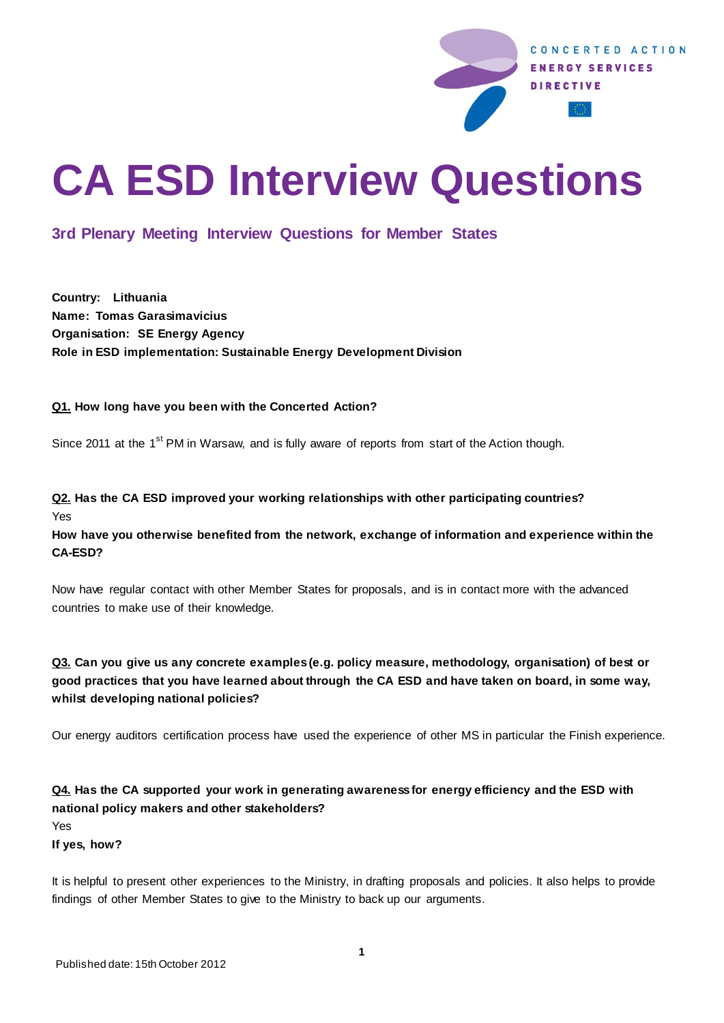

# **CA ESD Interview Questions**

# **3rd Plenary Meeting Interview Questions for Member States**

**Country: Lithuania Name: Tomas Garasimavicius Organisation: SE Energy Agency Role in ESD implementation: Sustainable Energy Development Division**

#### **Q1. How long have you been with the Concerted Action?**

Since 2011 at the 1<sup>st</sup> PM in Warsaw, and is fully aware of reports from start of the Action though.

### **Q2. Has the CA ESD improved your working relationships with other participating countries?** Yes

**How have you otherwise benefited from the network, exchange of information and experience within the CA-ESD?** 

Now have regular contact with other Member States for proposals, and is in contact more with the advanced countries to make use of their knowledge.

## **Q3. Can you give us any concrete examples (e.g. policy measure, methodology, organisation) of best or good practices that you have learned about through the CA ESD and have taken on board, in some way, whilst developing national policies?**

Our energy auditors certification process have used the experience of other MS in particular the Finish experience.

## **Q4. Has the CA supported your work in generating awareness for energy efficiency and the ESD with national policy makers and other stakeholders?**

Yes

**If yes, how?**

It is helpful to present other experiences to the Ministry, in drafting proposals and policies. It also helps to provide findings of other Member States to give to the Ministry to back up our arguments.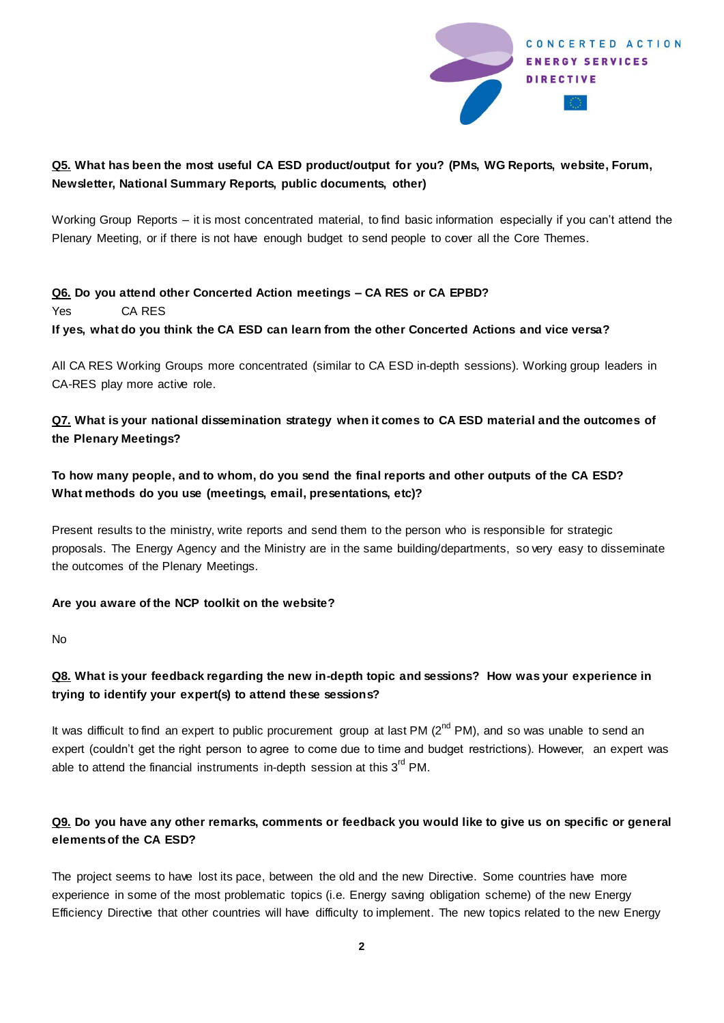

## **Q5. What has been the most useful CA ESD product/output for you? (PMs, WG Reports, website, Forum, Newsletter, National Summary Reports, public documents, other)**

Working Group Reports – it is most concentrated material, to find basic information especially if you can't attend the Plenary Meeting, or if there is not have enough budget to send people to cover all the Core Themes.

### **Q6. Do you attend other Concerted Action meetings – CA RES or CA EPBD?** Yes CA RES **If yes, what do you think the CA ESD can learn from the other Concerted Actions and vice versa?**

All CA RES Working Groups more concentrated (similar to CA ESD in-depth sessions). Working group leaders in CA-RES play more active role.

## **Q7. What is your national dissemination strategy when it comes to CA ESD material and the outcomes of the Plenary Meetings?**

## **To how many people, and to whom, do you send the final reports and other outputs of the CA ESD? What methods do you use (meetings, email, presentations, etc)?**

Present results to the ministry, write reports and send them to the person who is responsible for strategic proposals. The Energy Agency and the Ministry are in the same building/departments, so very easy to disseminate the outcomes of the Plenary Meetings.

#### **Are you aware of the NCP toolkit on the website?**

No

## **Q8. What is your feedback regarding the new in-depth topic and sessions? How was your experience in trying to identify your expert(s) to attend these sessions?**

It was difficult to find an expert to public procurement group at last PM  $(2^{nd}$  PM), and so was unable to send an expert (couldn't get the right person to agree to come due to time and budget restrictions). However, an expert was able to attend the financial instruments in-depth session at this 3<sup>rd</sup> PM.

## **Q9. Do you have any other remarks, comments or feedback you would like to give us on specific or general elements of the CA ESD?**

The project seems to have lost its pace, between the old and the new Directive. Some countries have more experience in some of the most problematic topics (i.e. Energy saving obligation scheme) of the new Energy Efficiency Directive that other countries will have difficulty to implement. The new topics related to the new Energy